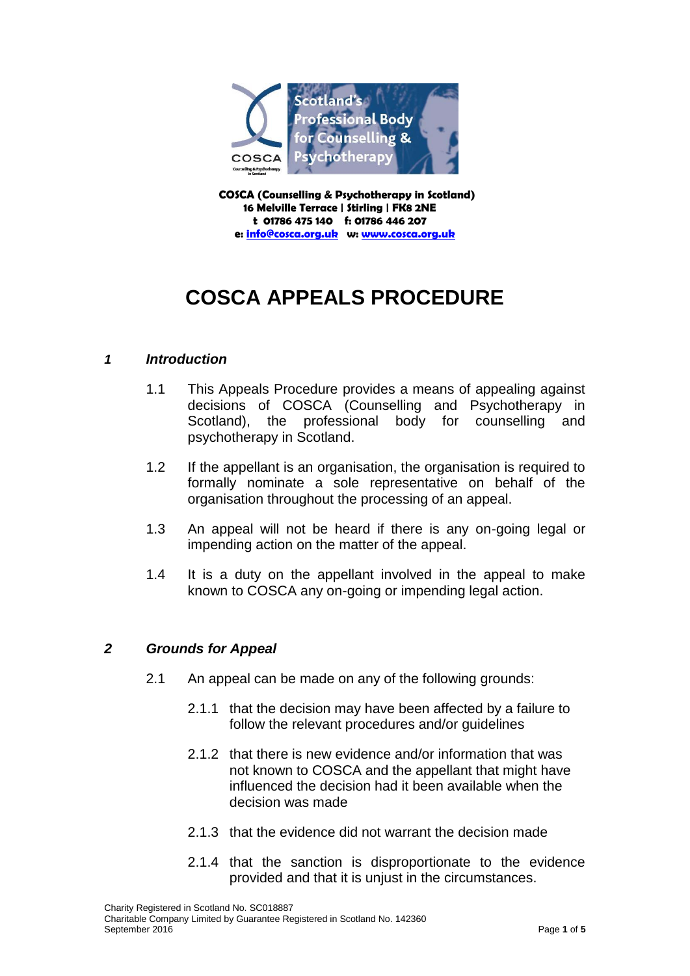

 **COSCA (Counselling & Psychotherapy in Scotland) 16 Melville Terrace | Stirling | FK8 2NE t 01786 475 140 f: 01786 446 207 e[: info@cosca.org.uk](mailto:info@cosca.org.uk) w: [www.cosca.org.uk](http://www.cosca.org.uk/)**

# **COSCA APPEALS PROCEDURE**

## *1 Introduction*

- 1.1 This Appeals Procedure provides a means of appealing against decisions of COSCA (Counselling and Psychotherapy in Scotland), the professional body for counselling and psychotherapy in Scotland.
- 1.2 If the appellant is an organisation, the organisation is required to formally nominate a sole representative on behalf of the organisation throughout the processing of an appeal.
- 1.3 An appeal will not be heard if there is any on-going legal or impending action on the matter of the appeal.
- 1.4 It is a duty on the appellant involved in the appeal to make known to COSCA any on-going or impending legal action.

# *2 Grounds for Appeal*

- 2.1 An appeal can be made on any of the following grounds:
	- 2.1.1 that the decision may have been affected by a failure to follow the relevant procedures and/or guidelines
	- 2.1.2 that there is new evidence and/or information that was not known to COSCA and the appellant that might have influenced the decision had it been available when the decision was made
	- 2.1.3 that the evidence did not warrant the decision made
	- 2.1.4 that the sanction is disproportionate to the evidence provided and that it is unjust in the circumstances.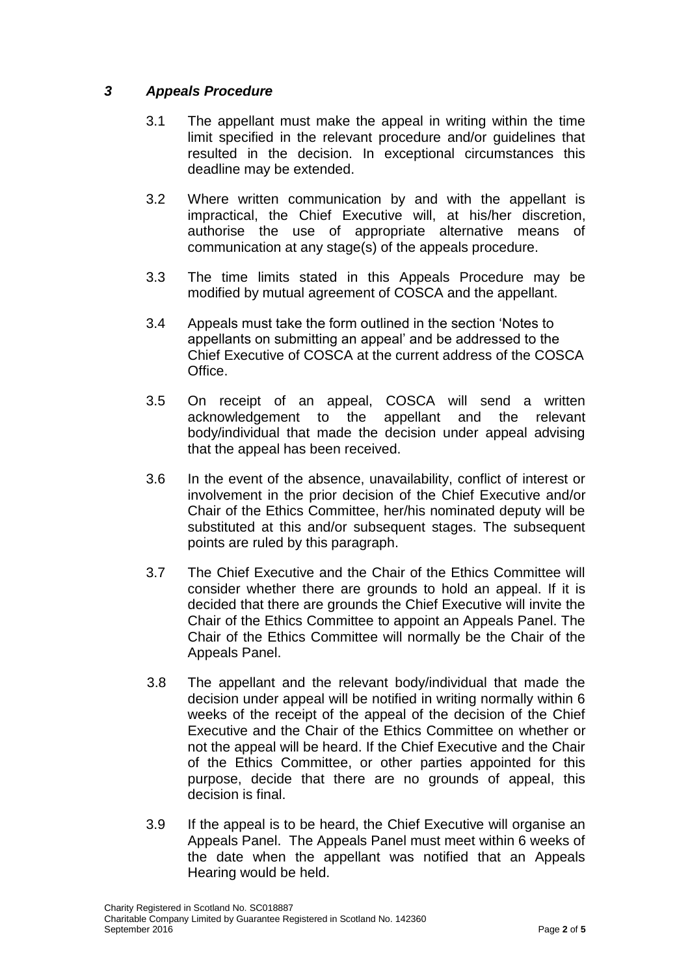## *3 Appeals Procedure*

- 3.1 The appellant must make the appeal in writing within the time limit specified in the relevant procedure and/or guidelines that resulted in the decision. In exceptional circumstances this deadline may be extended.
- 3.2 Where written communication by and with the appellant is impractical, the Chief Executive will, at his/her discretion, authorise the use of appropriate alternative means of communication at any stage(s) of the appeals procedure.
- 3.3 The time limits stated in this Appeals Procedure may be modified by mutual agreement of COSCA and the appellant.
- 3.4 Appeals must take the form outlined in the section 'Notes to appellants on submitting an appeal' and be addressed to the Chief Executive of COSCA at the current address of the COSCA Office.
- 3.5 On receipt of an appeal, COSCA will send a written acknowledgement to the appellant and the relevant body/individual that made the decision under appeal advising that the appeal has been received.
- 3.6 In the event of the absence, unavailability, conflict of interest or involvement in the prior decision of the Chief Executive and/or Chair of the Ethics Committee, her/his nominated deputy will be substituted at this and/or subsequent stages. The subsequent points are ruled by this paragraph.
- 3.7 The Chief Executive and the Chair of the Ethics Committee will consider whether there are grounds to hold an appeal. If it is decided that there are grounds the Chief Executive will invite the Chair of the Ethics Committee to appoint an Appeals Panel. The Chair of the Ethics Committee will normally be the Chair of the Appeals Panel.
- 3.8 The appellant and the relevant body/individual that made the decision under appeal will be notified in writing normally within 6 weeks of the receipt of the appeal of the decision of the Chief Executive and the Chair of the Ethics Committee on whether or not the appeal will be heard. If the Chief Executive and the Chair of the Ethics Committee, or other parties appointed for this purpose, decide that there are no grounds of appeal, this decision is final.
- 3.9 If the appeal is to be heard, the Chief Executive will organise an Appeals Panel. The Appeals Panel must meet within 6 weeks of the date when the appellant was notified that an Appeals Hearing would be held.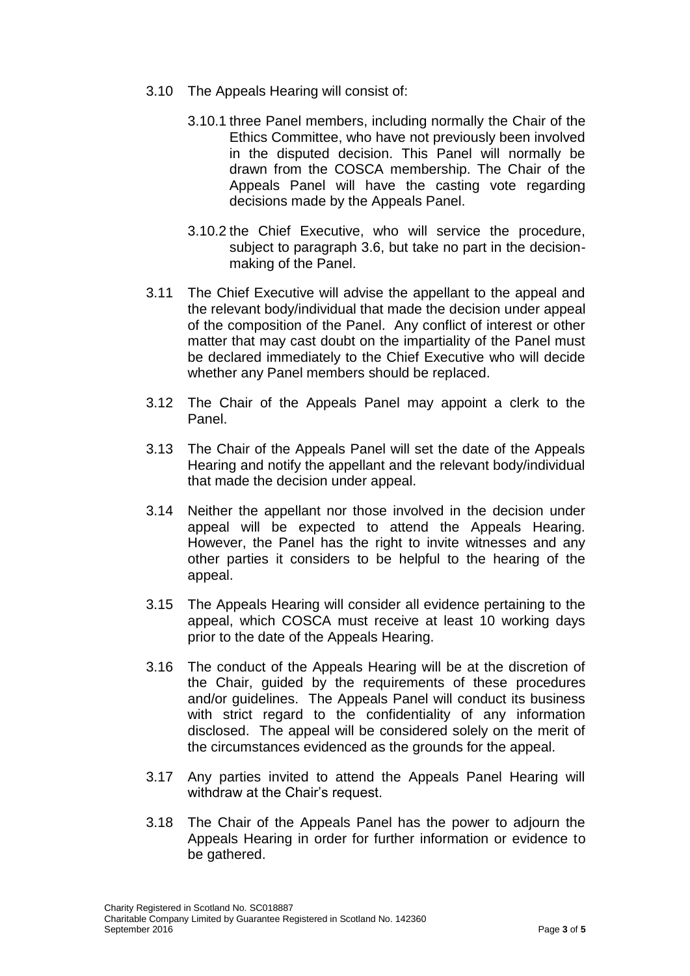- 3.10 The Appeals Hearing will consist of:
	- 3.10.1 three Panel members, including normally the Chair of the Ethics Committee, who have not previously been involved in the disputed decision. This Panel will normally be drawn from the COSCA membership. The Chair of the Appeals Panel will have the casting vote regarding decisions made by the Appeals Panel.
	- 3.10.2 the Chief Executive, who will service the procedure, subject to paragraph 3.6, but take no part in the decisionmaking of the Panel.
- 3.11 The Chief Executive will advise the appellant to the appeal and the relevant body/individual that made the decision under appeal of the composition of the Panel. Any conflict of interest or other matter that may cast doubt on the impartiality of the Panel must be declared immediately to the Chief Executive who will decide whether any Panel members should be replaced.
- 3.12 The Chair of the Appeals Panel may appoint a clerk to the Panel.
- 3.13 The Chair of the Appeals Panel will set the date of the Appeals Hearing and notify the appellant and the relevant body/individual that made the decision under appeal.
- 3.14 Neither the appellant nor those involved in the decision under appeal will be expected to attend the Appeals Hearing. However, the Panel has the right to invite witnesses and any other parties it considers to be helpful to the hearing of the appeal.
- 3.15 The Appeals Hearing will consider all evidence pertaining to the appeal, which COSCA must receive at least 10 working days prior to the date of the Appeals Hearing.
- 3.16 The conduct of the Appeals Hearing will be at the discretion of the Chair, guided by the requirements of these procedures and/or guidelines. The Appeals Panel will conduct its business with strict regard to the confidentiality of any information disclosed. The appeal will be considered solely on the merit of the circumstances evidenced as the grounds for the appeal.
- 3.17 Any parties invited to attend the Appeals Panel Hearing will withdraw at the Chair's request.
- 3.18 The Chair of the Appeals Panel has the power to adjourn the Appeals Hearing in order for further information or evidence to be gathered.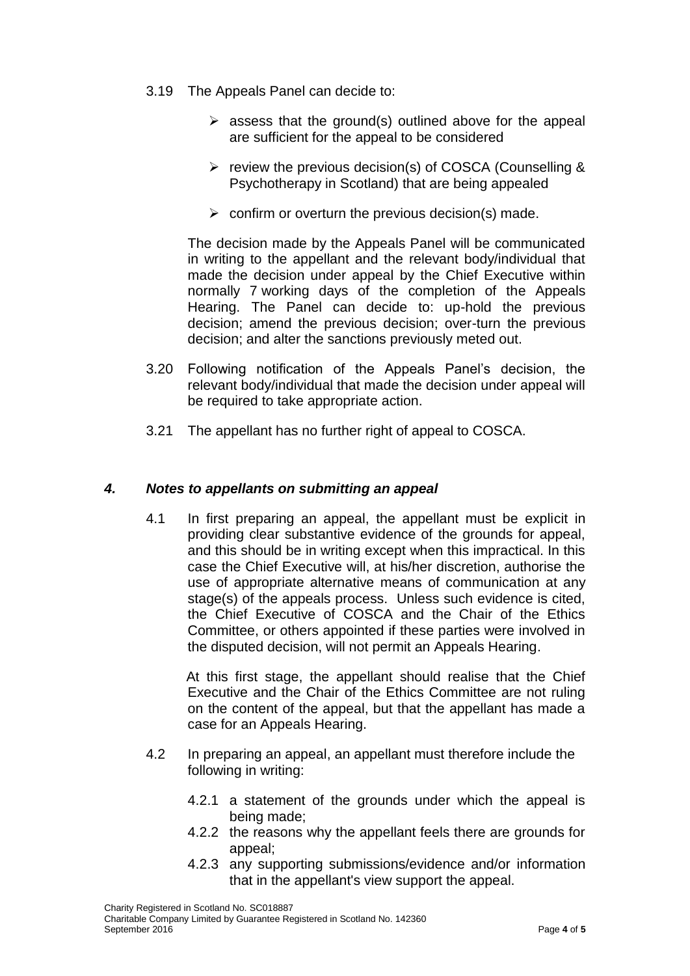- 3.19 The Appeals Panel can decide to:
	- $\triangleright$  assess that the ground(s) outlined above for the appeal are sufficient for the appeal to be considered
	- $\triangleright$  review the previous decision(s) of COSCA (Counselling & Psychotherapy in Scotland) that are being appealed
	- $\triangleright$  confirm or overturn the previous decision(s) made.

 The decision made by the Appeals Panel will be communicated in writing to the appellant and the relevant body/individual that made the decision under appeal by the Chief Executive within normally 7 working days of the completion of the Appeals Hearing. The Panel can decide to: up-hold the previous decision; amend the previous decision; over-turn the previous decision; and alter the sanctions previously meted out.

- 3.20 Following notification of the Appeals Panel's decision, the relevant body/individual that made the decision under appeal will be required to take appropriate action.
- 3.21 The appellant has no further right of appeal to COSCA.

#### *4. Notes to appellants on submitting an appeal*

4.1 In first preparing an appeal, the appellant must be explicit in providing clear substantive evidence of the grounds for appeal, and this should be in writing except when this impractical. In this case the Chief Executive will, at his/her discretion, authorise the use of appropriate alternative means of communication at any stage(s) of the appeals process. Unless such evidence is cited, the Chief Executive of COSCA and the Chair of the Ethics Committee, or others appointed if these parties were involved in the disputed decision, will not permit an Appeals Hearing.

 At this first stage, the appellant should realise that the Chief Executive and the Chair of the Ethics Committee are not ruling on the content of the appeal, but that the appellant has made a case for an Appeals Hearing.

- 4.2 In preparing an appeal, an appellant must therefore include the following in writing:
	- 4.2.1 a statement of the grounds under which the appeal is being made;
	- 4.2.2 the reasons why the appellant feels there are grounds for appeal;
	- 4.2.3 any supporting submissions/evidence and/or information that in the appellant's view support the appeal.